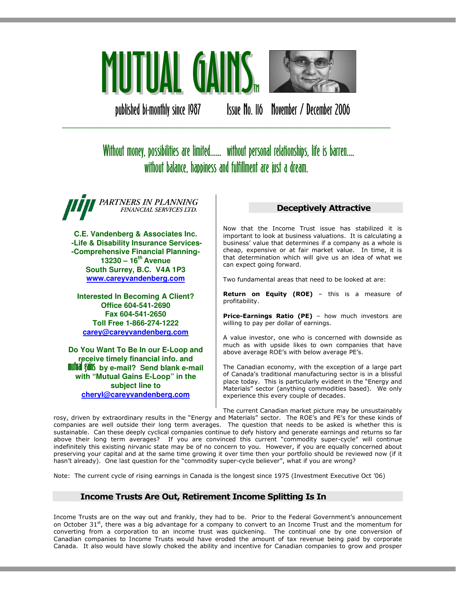

published bi-monthly since 1987 Issue No. 116 November / December 2006

# Without money, possibilities are limited...... without personal relationships, life is barren.... without balance, happiness and fulfillment are just a dream.

\_\_\_\_\_\_\_\_\_\_\_\_\_\_\_\_\_\_\_\_\_\_\_\_\_\_\_\_\_\_\_\_\_\_\_\_\_\_\_\_\_\_\_\_\_\_\_\_\_\_\_\_\_\_\_\_\_\_\_\_\_\_\_

PARTNERS IN PLANNING FINANCIAL SERVICES LTD.

**C.E. Vandenberg & Associates Inc. -Life & Disability Insurance Services- -Comprehensive Financial Planning-13230 – 16th Avenue South Surrey, B.C. V4A 1P3 www.careyvandenberg.com**

**Interested In Becoming A Client? Office 604-541-2690 Fax 604-541-2650 Toll Free 1-866-274-1222 carey@careyvandenberg.com**

**Do You Want To Be In our E-Loop and receive timely financial info. and<br><b>mutual gains** by e-mail? Send blank e-mail **with "Mutual Gains E-Loop" in the subject line to cheryl@careyvandenberg.com**

## Deceptively Attractive

Now that the Income Trust issue has stabilized it is important to look at business valuations. It is calculating a business' value that determines if a company as a whole is cheap, expensive or at fair market value. In time, it is that determination which will give us an idea of what we can expect going forward.

Two fundamental areas that need to be looked at are:

Return on Equity (ROE) - this is a measure of profitability.

Price-Earnings Ratio (PE) - how much investors are willing to pay per dollar of earnings.

A value investor, one who is concerned with downside as much as with upside likes to own companies that have above average ROE's with below average PE's.

The Canadian economy, with the exception of a large part of Canada's traditional manufacturing sector is in a blissful place today. This is particularly evident in the "Energy and Materials" sector (anything commodities based). We only experience this every couple of decades.

The current Canadian market picture may be unsustainably rosy, driven by extraordinary results in the "Energy and Materials" sector. The ROE's and PE's for these kinds of companies are well outside their long term averages. The question that needs to be asked is whether this is sustainable. Can these deeply cyclical companies continue to defy history and generate earnings and returns so far above their long term averages? If you are convinced this current "commodity super-cycle" will continue indefinitely this existing nirvanic state may be of no concern to you. However, if you are equally concerned about preserving your capital and at the same time growing it over time then your portfolio should be reviewed now (if it hasn't already). One last question for the "commodity super-cycle believer", what if you are wrong?

Note: The current cycle of rising earnings in Canada is the longest since 1975 (Investment Executive Oct '06)

# Income Trusts Are Out, Retirement Income Splitting Is In

Income Trusts are on the way out and frankly, they had to be. Prior to the Federal Government's announcement on October 31<sup>st</sup>, there was a big advantage for a company to convert to an Income Trust and the momentum for converting from a corporation to an income trust was quickening. The continual one by one conversion of Canadian companies to Income Trusts would have eroded the amount of tax revenue being paid by corporate Canada. It also would have slowly choked the ability and incentive for Canadian companies to grow and prosper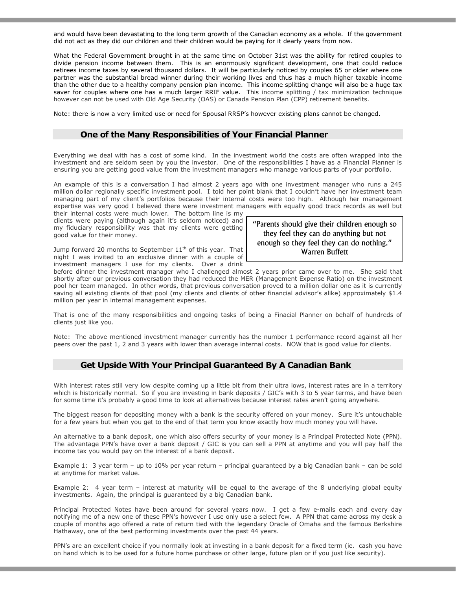and would have been devastating to the long term growth of the Canadian economy as a whole. If the government did not act as they did our children and their children would be paying for it dearly years from now.

What the Federal Government brought in at the same time on October 31st was the ability for retired couples to divide pension income between them. This is an enormously significant development, one that could reduce retirees income taxes by several thousand dollars. It will be particularly noticed by couples 65 or older where one partner was the substantial bread winner during their working lives and thus has a much higher taxable income than the other due to a healthy company pension plan income. This income splitting change will also be a huge tax saver for couples where one has a much larger RRIF value. This income splitting / tax minimization technique however can not be used with Old Age Security (OAS) or Canada Pension Plan (CPP) retirement benefits.

Note: there is now a very limited use or need for Spousal RRSP's however existing plans cannot be changed.

#### One of the Many Responsibilities of Your Financial Planner

Everything we deal with has a cost of some kind. In the investment world the costs are often wrapped into the investment and are seldom seen by you the investor. One of the responsibilities I have as a Financial Planner is ensuring you are getting good value from the investment managers who manage various parts of your portfolio.

An example of this is a conversation I had almost 2 years ago with one investment manager who runs a 245 million dollar regionally specific investment pool. I told her point blank that I couldn't have her investment team managing part of my client's portfolios because their internal costs were too high. Although her management expertise was very good I believed there were investment managers with equally good track records as well but

their internal costs were much lower. The bottom line is my clients were paying (although again it's seldom noticed) and my fiduciary responsibility was that my clients were getting good value for their money.

Jump forward 20 months to September  $11<sup>th</sup>$  of this year. That night I was invited to an exclusive dinner with a couple of investment managers I use for my clients. Over a drink

before dinner the investment manager who I challenged almost 2 years prior came over to me. She said that shortly after our previous conversation they had reduced the MER (Management Expense Ratio) on the investment pool her team managed. In other words, that previous conversation proved to a million dollar one as it is currently saving all existing clients of that pool (my clients and clients of other financial advisor's alike) approximately \$1.4 million per year in internal management expenses.

That is one of the many responsibilities and ongoing tasks of being a Finacial Planner on behalf of hundreds of clients just like you.

Note: The above mentioned investment manager currently has the number 1 performance record against all her peers over the past 1, 2 and 3 years with lower than average internal costs. NOW that is good value for clients.

#### Get Upside With Your Principal Guaranteed By A Canadian Bank

With interest rates still very low despite coming up a little bit from their ultra lows, interest rates are in a territory which is historically normal. So if you are investing in bank deposits / GIC's with 3 to 5 year terms, and have been for some time it's probably a good time to look at alternatives because interest rates aren't going anywhere.

The biggest reason for depositing money with a bank is the security offered on your money. Sure it's untouchable for a few years but when you get to the end of that term you know exactly how much money you will have.

An alternative to a bank deposit, one which also offers security of your money is a Principal Protected Note (PPN). The advantage PPN's have over a bank deposit / GIC is you can sell a PPN at anytime and you will pay half the income tax you would pay on the interest of a bank deposit.

Example 1: 3 year term – up to 10% per year return – principal guaranteed by a big Canadian bank – can be sold at anytime for market value.

Example 2: 4 year term – interest at maturity will be equal to the average of the 8 underlying global equity investments. Again, the principal is guaranteed by a big Canadian bank.

Principal Protected Notes have been around for several years now. I get a few e-mails each and every day notifying me of a new one of these PPN's however I use only use a select few. A PPN that came across my desk a couple of months ago offered a rate of return tied with the legendary Oracle of Omaha and the famous Berkshire Hathaway, one of the best performing investments over the past 44 years.

PPN's are an excellent choice if you normally look at investing in a bank deposit for a fixed term (ie. cash you have on hand which is to be used for a future home purchase or other large, future plan or if you just like security).

"Parents should give their children enough so they feel they can do anything but not enough so they feel they can do nothing." Warren Buffett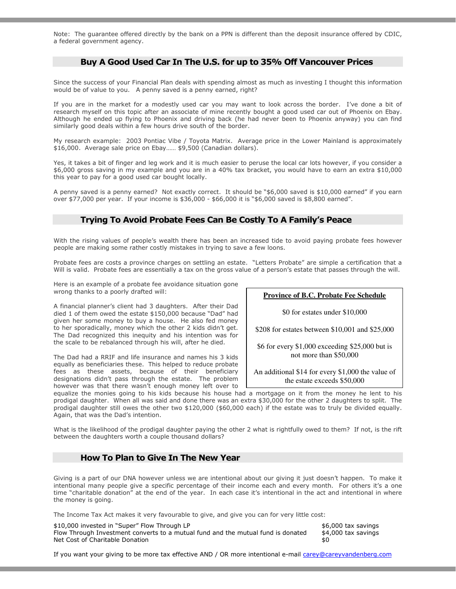Note: The guarantee offered directly by the bank on a PPN is different than the deposit insurance offered by CDIC, a federal government agency.

#### Buy A Good Used Car In The U.S. for up to 35% Off Vancouver Prices

Since the success of your Financial Plan deals with spending almost as much as investing I thought this information would be of value to you. A penny saved is a penny earned, right?

If you are in the market for a modestly used car you may want to look across the border. I've done a bit of research myself on this topic after an associate of mine recently bought a good used car out of Phoenix on Ebay. Although he ended up flying to Phoenix and driving back (he had never been to Phoenix anyway) you can find similarly good deals within a few hours drive south of the border.

My research example: 2003 Pontiac Vibe / Toyota Matrix. Average price in the Lower Mainland is approximately \$16,000. Average sale price on Ebay…… \$9,500 (Canadian dollars).

Yes, it takes a bit of finger and leg work and it is much easier to peruse the local car lots however, if you consider a \$6,000 gross saving in my example and you are in a 40% tax bracket, you would have to earn an extra \$10,000 this year to pay for a good used car bought locally.

A penny saved is a penny earned? Not exactly correct. It should be "\$6,000 saved is \$10,000 earned" if you earn over \$77,000 per year. If your income is \$36,000 - \$66,000 it is "\$6,000 saved is \$8,800 earned".

### Trying To Avoid Probate Fees Can Be Costly To A Family's Peace

With the rising values of people's wealth there has been an increased tide to avoid paying probate fees however people are making some rather costly mistakes in trying to save a few loons.

Probate fees are costs a province charges on settling an estate. "Letters Probate" are simple a certification that a Will is valid. Probate fees are essentially a tax on the gross value of a person's estate that passes through the will.

Here is an example of a probate fee avoidance situation gone wrong thanks to a poorly drafted will:

A financial planner's client had 3 daughters. After their Dad died 1 of them owed the estate \$150,000 because "Dad" had given her some money to buy a house. He also fed money to her sporadically, money which the other 2 kids didn't get. The Dad recognized this inequity and his intention was for the scale to be rebalanced through his will, after he died.

The Dad had a RRIF and life insurance and names his 3 kids equally as beneficiaries these. This helped to reduce probate fees as these assets, because of their beneficiary designations didn't pass through the estate. The problem however was that there wasn't enough money left over to **Province of B.C. Probate Fee Schedule**

\$0 for estates under \$10,000

\$208 for estates between \$10,001 and \$25,000

\$6 for every \$1,000 exceeding \$25,000 but is not more than \$50,000

An additional \$14 for every \$1,000 the value of the estate exceeds \$50,000

equalize the monies going to his kids because his house had a mortgage on it from the money he lent to his prodigal daughter. When all was said and done there was an extra \$30,000 for the other 2 daughters to split. The prodigal daughter still owes the other two \$120,000 (\$60,000 each) if the estate was to truly be divided equally. Again, that was the Dad's intention.

What is the likelihood of the prodigal daughter paying the other 2 what is rightfully owed to them? If not, is the rift between the daughters worth a couple thousand dollars?

## How To Plan to Give In The New Year

Giving is a part of our DNA however unless we are intentional about our giving it just doesn't happen. To make it intentional many people give a specific percentage of their income each and every month. For others it's a one time "charitable donation" at the end of the year. In each case it's intentional in the act and intentional in where the money is going.

The Income Tax Act makes it very favourable to give, and give you can for very little cost:

| \$10,000 invested in "Super" Flow Through LP                                     | \$6,000 tax savings |
|----------------------------------------------------------------------------------|---------------------|
| Flow Through Investment converts to a mutual fund and the mutual fund is donated | \$4,000 tax savings |
| Net Cost of Charitable Donation                                                  | \$0                 |

If you want your giving to be more tax effective AND / OR more intentional e-mail carey@careyvandenberg.com